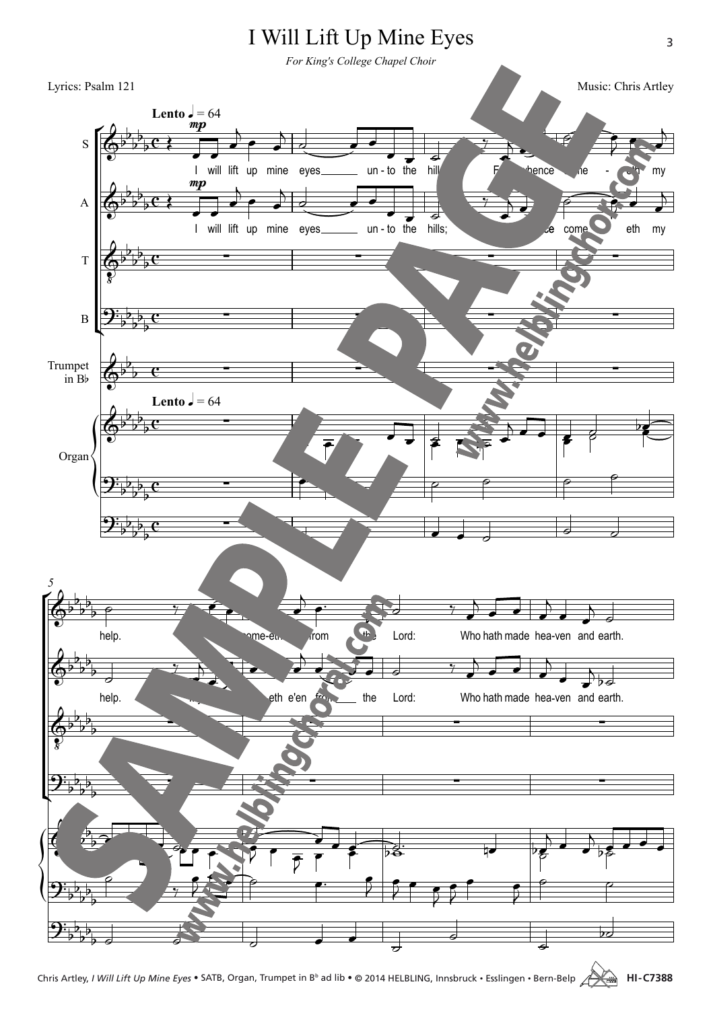

Chris Artley, *I Will Lift Up Mine Eyes* • SATB, Organ, Trumpet in B<sup>b</sup> ad lib • © 2014 HELBLING, Innsbruck • Esslingen • Bern-Belp **ARA** HI-C7388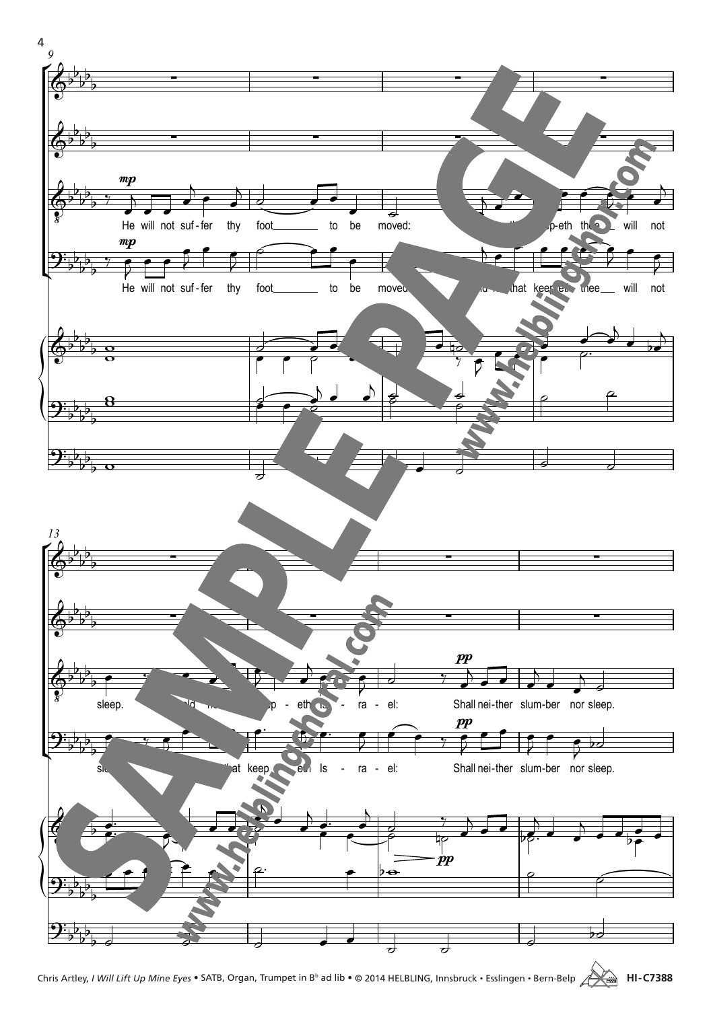

Chris Artley, *I Will Lift Up Mine Eyes* • SATB, Organ, Trumpet in Bb ad lib • © 2014 Helbling, Innsbruck • Esslingen • Bern-Belp **HI -C7388**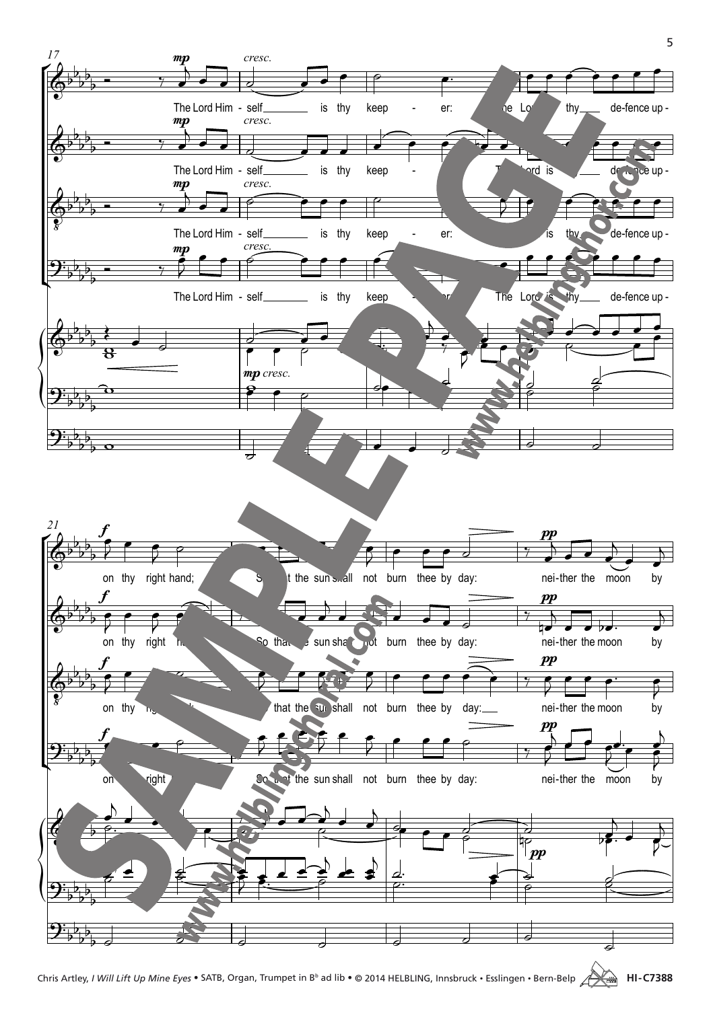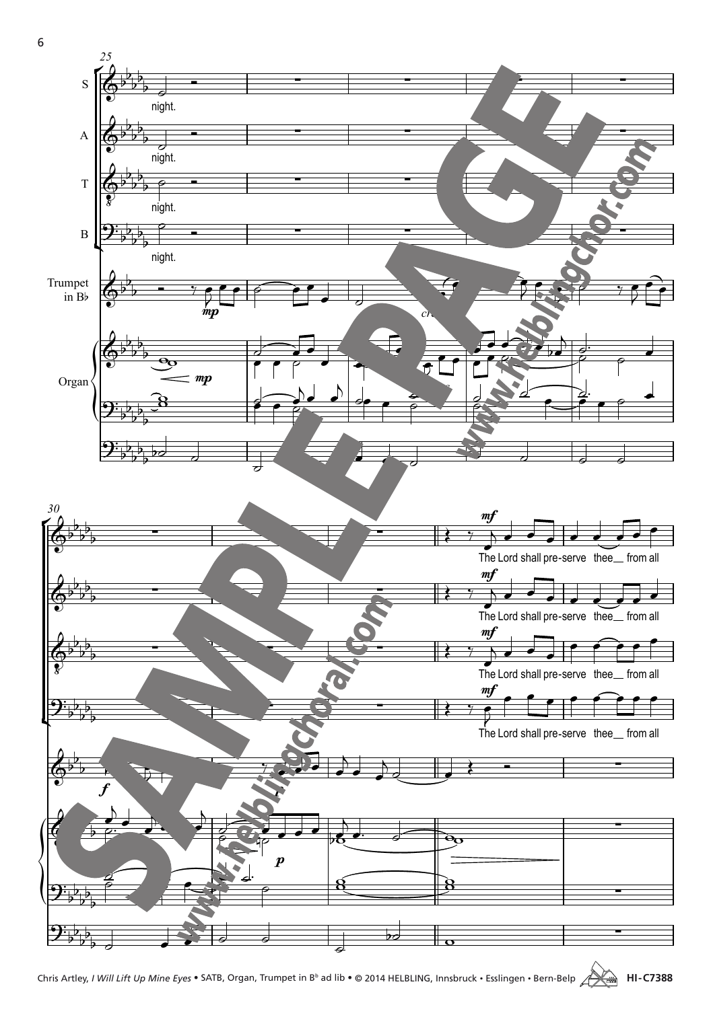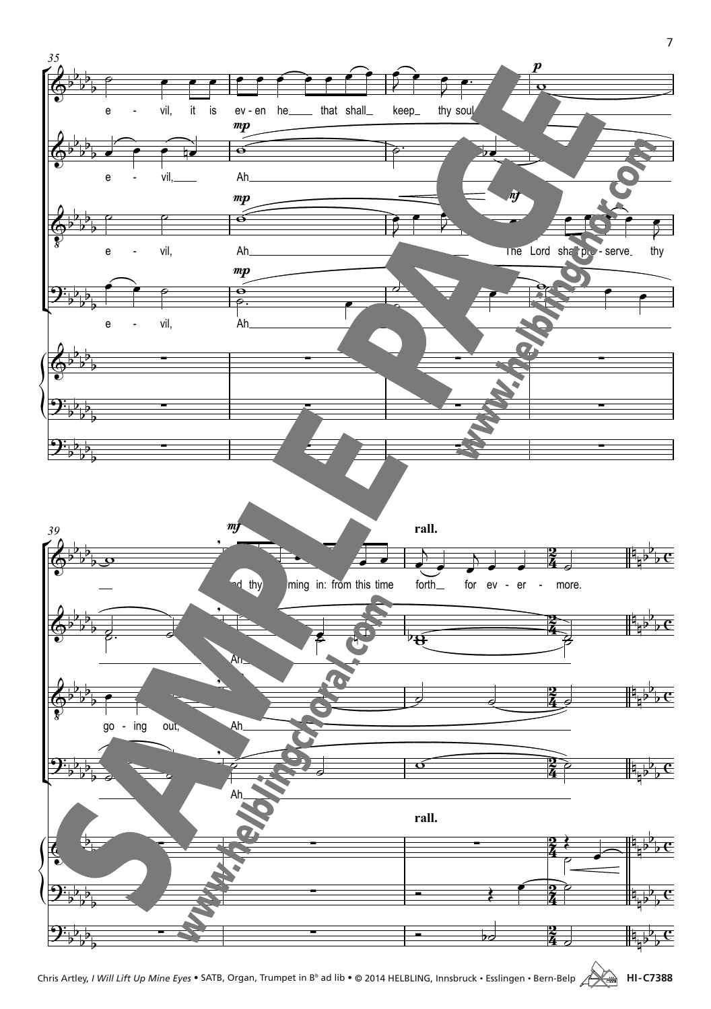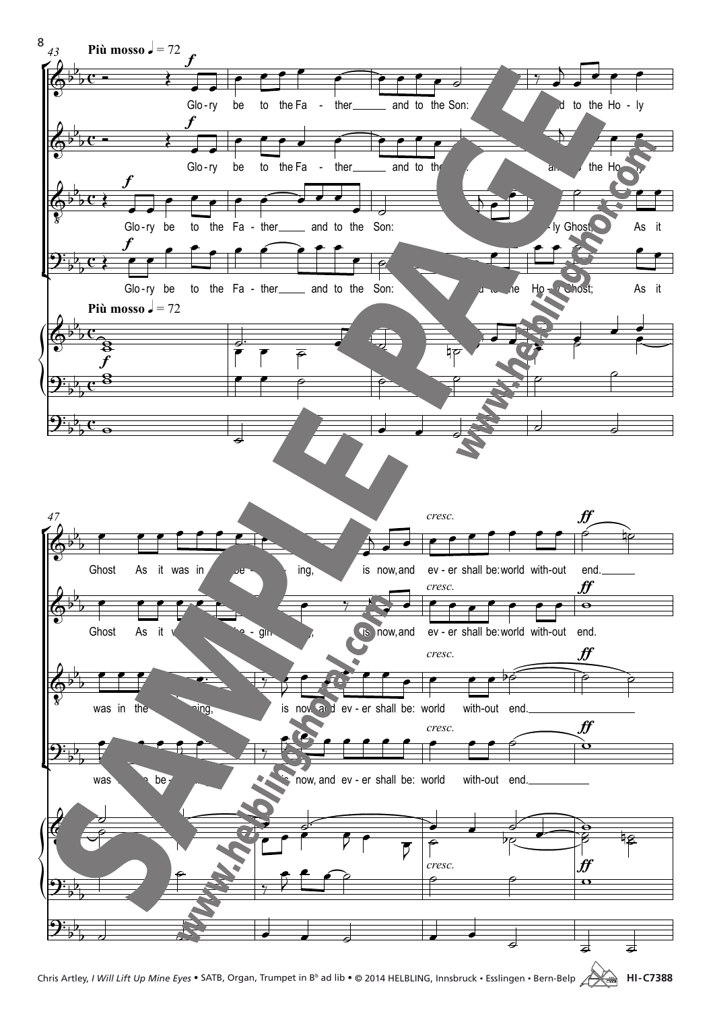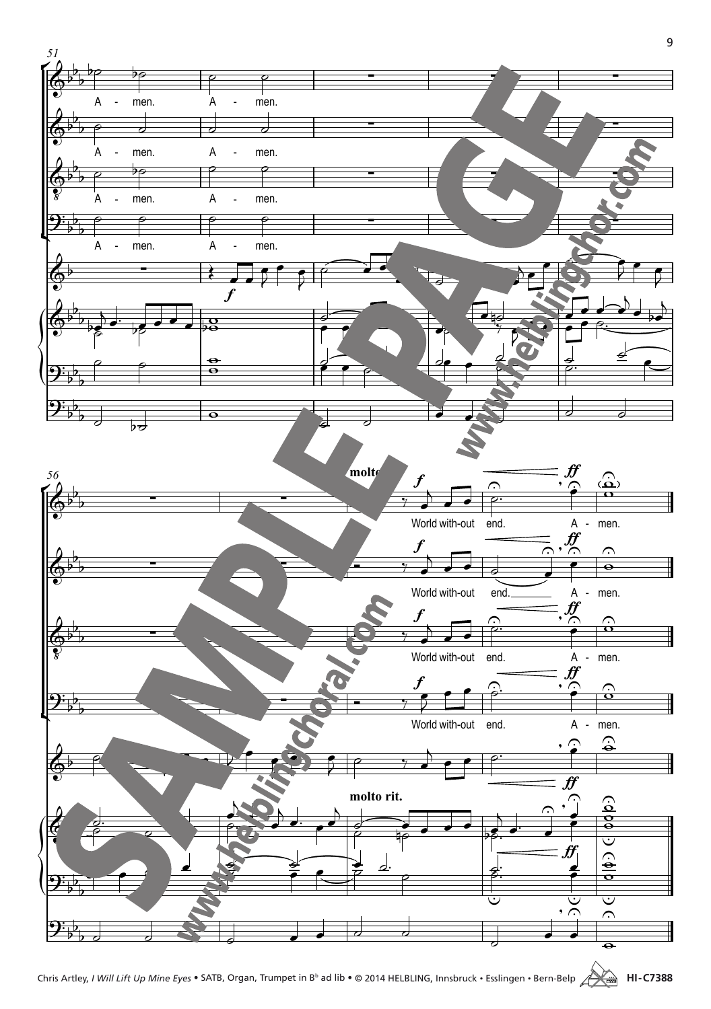